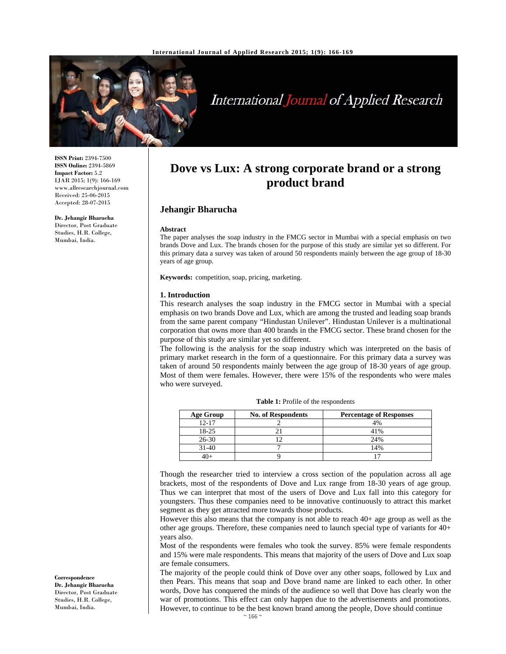

# **International Journal of Applied Research**

**ISSN Print:** 2394-7500 **ISSN Online:** 2394-5869 **Impact Factor:** 5.2 IJAR 2015; 1(9): 166-169 www.allresearchjournal.com Received: 25-06-2015 Accepted: 28-07-2015

**Dr. Jehangir Bharucha**  Director, Post Graduate Studies, H.R. College, Mumbai, India.

# **Dove vs Lux: A strong corporate brand or a strong product brand**

## **Jehangir Bharucha**

#### **Abstract**

The paper analyses the soap industry in the FMCG sector in Mumbai with a special emphasis on two brands Dove and Lux. The brands chosen for the purpose of this study are similar yet so different. For this primary data a survey was taken of around 50 respondents mainly between the age group of 18-30 years of age group.

**Keywords:** competition, soap, pricing, marketing.

#### **1. Introduction**

This research analyses the soap industry in the FMCG sector in Mumbai with a special emphasis on two brands Dove and Lux, which are among the trusted and leading soap brands from the same parent company "Hindustan Unilever". Hindustan Unilever is a multinational corporation that owns more than 400 brands in the FMCG sector. These brand chosen for the purpose of this study are similar yet so different.

The following is the analysis for the soap industry which was interpreted on the basis of primary market research in the form of a questionnaire. For this primary data a survey was taken of around 50 respondents mainly between the age group of 18-30 years of age group. Most of them were females. However, there were 15% of the respondents who were males who were surveyed.

| <b>Age Group</b> | <b>No. of Respondents</b> | <b>Percentage of Responses</b> |
|------------------|---------------------------|--------------------------------|
| $12 - 17$        |                           | 4%                             |
| 18-25            |                           | 41%                            |
| $26 - 30$        |                           | 24%                            |
| $31-40$          |                           | 14%                            |
|                  |                           |                                |

**Table 1:** Profile of the respondents

Though the researcher tried to interview a cross section of the population across all age brackets, most of the respondents of Dove and Lux range from 18-30 years of age group. Thus we can interpret that most of the users of Dove and Lux fall into this category for youngsters. Thus these companies need to be innovative continuously to attract this market segment as they get attracted more towards those products.

However this also means that the company is not able to reach 40+ age group as well as the other age groups. Therefore, these companies need to launch special type of variants for 40+ years also.

Most of the respondents were females who took the survey. 85% were female respondents and 15% were male respondents. This means that majority of the users of Dove and Lux soap are female consumers.

The majority of the people could think of Dove over any other soaps, followed by Lux and then Pears. This means that soap and Dove brand name are linked to each other. In other words, Dove has conquered the minds of the audience so well that Dove has clearly won the war of promotions. This effect can only happen due to the advertisements and promotions. However, to continue to be the best known brand among the people, Dove should continue

**Correspondence Dr. Jehangir Bharucha**  Director, Post Graduate Studies, H.R. College, Mumbai, India.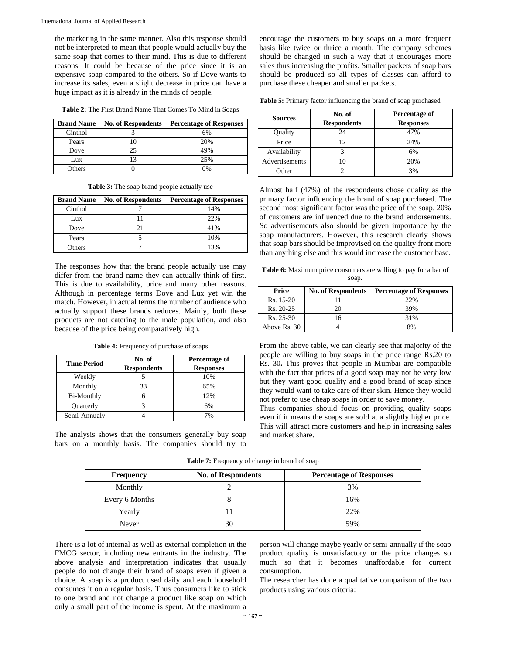the marketing in the same manner. Also this response should not be interpreted to mean that people would actually buy the same soap that comes to their mind. This is due to different reasons. It could be because of the price since it is an expensive soap compared to the others. So if Dove wants to increase its sales, even a slight decrease in price can have a huge impact as it is already in the minds of people.

**Table 2:** The First Brand Name That Comes To Mind in Soaps

| <b>Brand Name</b> | <b>No. of Respondents</b> | <b>Percentage of Responses</b> |
|-------------------|---------------------------|--------------------------------|
| Cinthol           |                           | 6%                             |
| Pears             |                           | 20%                            |
| Dove              | 25                        | 49%                            |
| Lux               |                           | 25%                            |
| Others            |                           | $\gamma_{0/2}$                 |

**Table 3:** The soap brand people actually use

| <b>Brand Name</b> | <b>No. of Respondents</b> | <b>Percentage of Responses</b> |
|-------------------|---------------------------|--------------------------------|
| Cinthol           |                           | 14%                            |
| Lux               |                           | 22%                            |
| Dove              |                           | 41%                            |
| Pears             |                           | 10%                            |
| <b>Others</b>     |                           | 13%                            |

The responses how that the brand people actually use may differ from the brand name they can actually think of first. This is due to availability, price and many other reasons. Although in percentage terms Dove and Lux yet win the match. However, in actual terms the number of audience who actually support these brands reduces. Mainly, both these products are not catering to the male population, and also because of the price being comparatively high.

**Table 4:** Frequency of purchase of soaps

| <b>Time Period</b> | No. of<br><b>Respondents</b> | Percentage of<br><b>Responses</b> |
|--------------------|------------------------------|-----------------------------------|
| Weekly             |                              | 10%                               |
| Monthly            | 33                           | 65%                               |
| Bi-Monthly         |                              | 12%                               |
| Quarterly          |                              | 6%                                |
| Semi-Annualy       |                              | 7%                                |

The analysis shows that the consumers generally buy soap bars on a monthly basis. The companies should try to encourage the customers to buy soaps on a more frequent basis like twice or thrice a month. The company schemes should be changed in such a way that it encourages more sales thus increasing the profits. Smaller packets of soap bars should be produced so all types of classes can afford to purchase these cheaper and smaller packets.

**Table 5:** Primary factor influencing the brand of soap purchased

| <b>Sources</b> | No. of<br><b>Respondents</b> | Percentage of<br><b>Responses</b> |
|----------------|------------------------------|-----------------------------------|
| Quality        | 24                           | 47%                               |
| Price          | 12                           | 24%                               |
| Availability   |                              | 6%                                |
| Advertisements |                              | 20%                               |
| Other          |                              | 3%                                |

Almost half (47%) of the respondents chose quality as the primary factor influencing the brand of soap purchased. The second most significant factor was the price of the soap. 20% of customers are influenced due to the brand endorsements. So advertisements also should be given importance by the soap manufacturers. However, this research clearly shows that soap bars should be improvised on the quality front more than anything else and this would increase the customer base.

**Table 6:** Maximum price consumers are willing to pay for a bar of soap.

| Price        | <b>No. of Respondents</b> | <b>Percentage of Responses</b> |
|--------------|---------------------------|--------------------------------|
| $Rs. 15-20$  |                           | 22%                            |
| $Rs. 20-25$  | 20                        | 39%                            |
| $Rs. 25-30$  | 16                        | 31%                            |
| Above Rs. 30 |                           | 8%                             |

From the above table, we can clearly see that majority of the people are willing to buy soaps in the price range Rs.20 to Rs. 30**.** This proves that people in Mumbai are compatible with the fact that prices of a good soap may not be very low but they want good quality and a good brand of soap since they would want to take care of their skin. Hence they would not prefer to use cheap soaps in order to save money.

Thus companies should focus on providing quality soaps even if it means the soaps are sold at a slightly higher price. This will attract more customers and help in increasing sales and market share.

|  | Table 7: Frequency of change in brand of soap |  |  |  |
|--|-----------------------------------------------|--|--|--|
|--|-----------------------------------------------|--|--|--|

| Frequency      | <b>No. of Respondents</b> | <b>Percentage of Responses</b> |
|----------------|---------------------------|--------------------------------|
| Monthly        |                           | 3%                             |
| Every 6 Months |                           | 16%                            |
| Yearly         |                           | 22%                            |
| Never          | 30                        | 59%                            |

There is a lot of internal as well as external completion in the FMCG sector, including new entrants in the industry. The above analysis and interpretation indicates that usually people do not change their brand of soaps even if given a choice. A soap is a product used daily and each household consumes it on a regular basis. Thus consumers like to stick to one brand and not change a product like soap on which only a small part of the income is spent. At the maximum a

person will change maybe yearly or semi-annually if the soap product quality is unsatisfactory or the price changes so much so that it becomes unaffordable for current consumption.

The researcher has done a qualitative comparison of the two products using various criteria: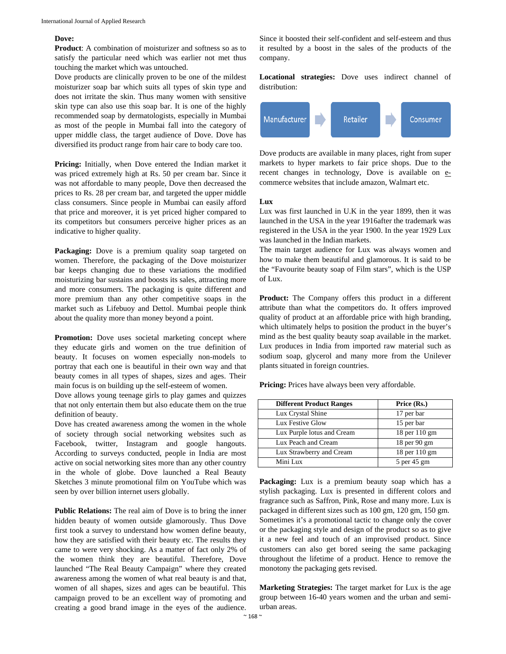### **Dove:**

**Product**: A combination of moisturizer and softness so as to satisfy the particular need which was earlier not met thus touching the market which was untouched.

Dove products are clinically proven to be one of the mildest moisturizer soap bar which suits all types of skin type and does not irritate the skin. Thus many women with sensitive skin type can also use this soap bar. It is one of the highly recommended soap by dermatologists, especially in Mumbai as most of the people in Mumbai fall into the category of upper middle class, the target audience of Dove. Dove has diversified its product range from hair care to body care too.

**Pricing:** Initially, when Dove entered the Indian market it was priced extremely high at Rs. 50 per cream bar. Since it was not affordable to many people, Dove then decreased the prices to Rs. 28 per cream bar, and targeted the upper middle class consumers. Since people in Mumbai can easily afford that price and moreover, it is yet priced higher compared to its competitors but consumers perceive higher prices as an indicative to higher quality.

Packaging: Dove is a premium quality soap targeted on women. Therefore, the packaging of the Dove moisturizer bar keeps changing due to these variations the modified moisturizing bar sustains and boosts its sales, attracting more and more consumers. The packaging is quite different and more premium than any other competitive soaps in the market such as Lifebuoy and Dettol. Mumbai people think about the quality more than money beyond a point.

**Promotion:** Dove uses societal marketing concept where they educate girls and women on the true definition of beauty. It focuses on women especially non-models to portray that each one is beautiful in their own way and that beauty comes in all types of shapes, sizes and ages. Their main focus is on building up the self-esteem of women.

Dove allows young teenage girls to play games and quizzes that not only entertain them but also educate them on the true definition of beauty.

Dove has created awareness among the women in the whole of society through social networking websites such as Facebook, twitter, Instagram and google hangouts. According to surveys conducted, people in India are most active on social networking sites more than any other country in the whole of globe. Dove launched a Real Beauty Sketches 3 minute promotional film on YouTube which was seen by over billion internet users globally.

**Public Relations:** The real aim of Dove is to bring the inner hidden beauty of women outside glamorously. Thus Dove first took a survey to understand how women define beauty, how they are satisfied with their beauty etc. The results they came to were very shocking. As a matter of fact only 2% of the women think they are beautiful. Therefore, Dove launched "The Real Beauty Campaign" where they created awareness among the women of what real beauty is and that, women of all shapes, sizes and ages can be beautiful. This campaign proved to be an excellent way of promoting and creating a good brand image in the eyes of the audience.

Since it boosted their self-confident and self-esteem and thus it resulted by a boost in the sales of the products of the company.

**Locational strategies:** Dove uses indirect channel of distribution:



Dove products are available in many places, right from super markets to hyper markets to fair price shops. Due to the recent changes in technology, Dove is available on ecommerce websites that include amazon, Walmart etc.

**Lux** 

Lux was first launched in U.K in the year 1899, then it was launched in the USA in the year 1916after the trademark was registered in the USA in the year 1900. In the year 1929 Lux was launched in the Indian markets.

The main target audience for Lux was always women and how to make them beautiful and glamorous. It is said to be the "Favourite beauty soap of Film stars", which is the USP of Lux.

**Product:** The Company offers this product in a different attribute than what the competitors do. It offers improved quality of product at an affordable price with high branding, which ultimately helps to position the product in the buyer's mind as the best quality beauty soap available in the market. Lux produces in India from imported raw material such as sodium soap, glycerol and many more from the Unilever plants situated in foreign countries.

Pricing: Prices have always been very affordable.

| <b>Different Product Ranges</b> | Price (Rs.)   |
|---------------------------------|---------------|
| Lux Crystal Shine               | 17 per bar    |
| Lux Festive Glow                | 15 per bar    |
| Lux Purple lotus and Cream      | 18 per 110 gm |
| Lux Peach and Cream             | 18 per 90 gm  |
| Lux Strawberry and Cream        | 18 per 110 gm |
| Mini Lux                        | 5 per 45 gm   |

**Packaging:** Lux is a premium beauty soap which has a stylish packaging. Lux is presented in different colors and fragrance such as Saffron, Pink, Rose and many more. Lux is packaged in different sizes such as 100 gm, 120 gm, 150 gm. Sometimes it's a promotional tactic to change only the cover or the packaging style and design of the product so as to give it a new feel and touch of an improvised product. Since customers can also get bored seeing the same packaging throughout the lifetime of a product. Hence to remove the monotony the packaging gets revised.

**Marketing Strategies:** The target market for Lux is the age group between 16-40 years women and the urban and semiurban areas.